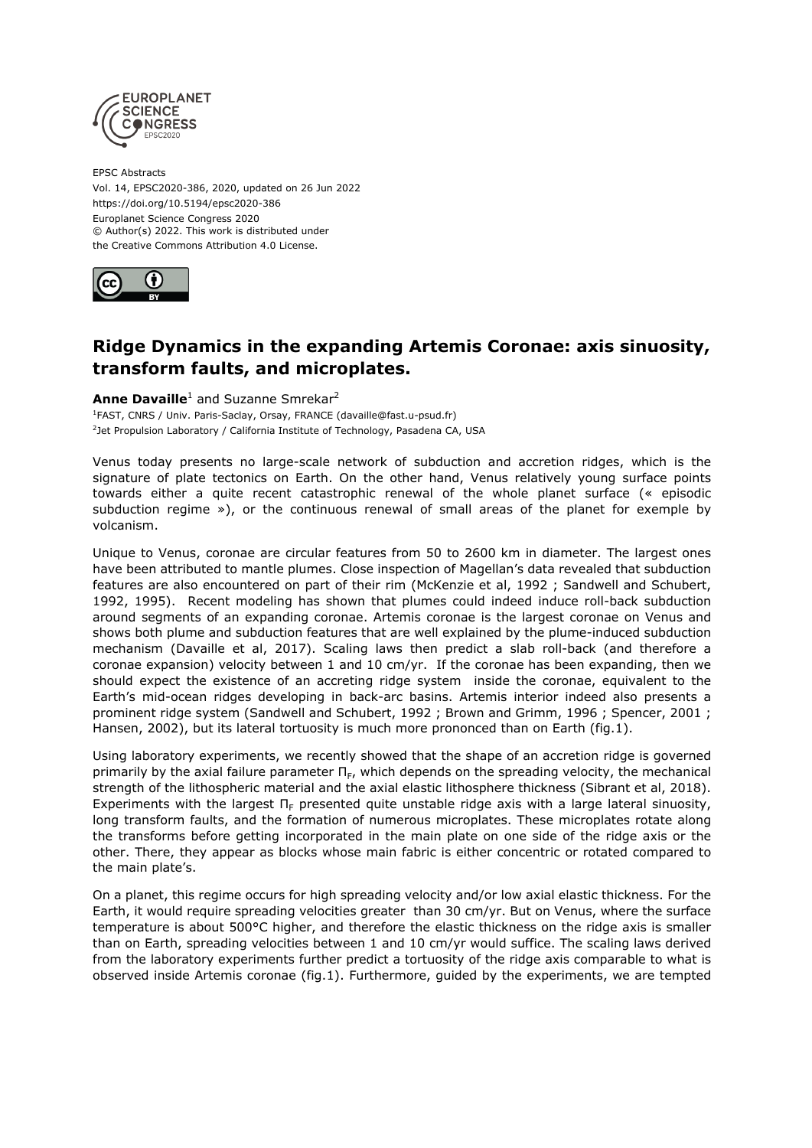

EPSC Abstracts Vol. 14, EPSC2020-386, 2020, updated on 26 Jun 2022 https://doi.org/10.5194/epsc2020-386 Europlanet Science Congress 2020 © Author(s) 2022. This work is distributed under the Creative Commons Attribution 4.0 License.



## **Ridge Dynamics in the expanding Artemis Coronae: axis sinuosity, transform faults, and microplates.**

## **Anne Davaille**<sup>1</sup> and Suzanne Smrekar<sup>2</sup>

<sup>1</sup>FAST, CNRS / Univ. Paris-Saclay, Orsay, FRANCE (davaille@fast.u-psud.fr) <sup>2</sup>Jet Propulsion Laboratory / California Institute of Technology, Pasadena CA, USA

Venus today presents no large-scale network of subduction and accretion ridges, which is the signature of plate tectonics on Earth. On the other hand, Venus relatively young surface points towards either a quite recent catastrophic renewal of the whole planet surface (« episodic subduction regime »), or the continuous renewal of small areas of the planet for exemple by volcanism.

Unique to Venus, coronae are circular features from 50 to 2600 km in diameter. The largest ones have been attributed to mantle plumes. Close inspection of Magellan's data revealed that subduction features are also encountered on part of their rim (McKenzie et al, 1992 ; Sandwell and Schubert, 1992, 1995). Recent modeling has shown that plumes could indeed induce roll-back subduction around segments of an expanding coronae. Artemis coronae is the largest coronae on Venus and shows both plume and subduction features that are well explained by the plume-induced subduction mechanism (Davaille et al, 2017). Scaling laws then predict a slab roll-back (and therefore a coronae expansion) velocity between 1 and 10 cm/yr. If the coronae has been expanding, then we should expect the existence of an accreting ridge system inside the coronae, equivalent to the Earth's mid-ocean ridges developing in back-arc basins. Artemis interior indeed also presents a prominent ridge system (Sandwell and Schubert, 1992 ; Brown and Grimm, 1996 ; Spencer, 2001 ; Hansen, 2002), but its lateral tortuosity is much more prononced than on Earth (fig.1).

Using laboratory experiments, we recently showed that the shape of an accretion ridge is governed primarily by the axial failure parameter  $\Pi_{F}$ , which depends on the spreading velocity, the mechanical strength of the lithospheric material and the axial elastic lithosphere thickness (Sibrant et al, 2018). Experiments with the largest  $\Pi_F$  presented quite unstable ridge axis with a large lateral sinuosity, long transform faults, and the formation of numerous microplates. These microplates rotate along the transforms before getting incorporated in the main plate on one side of the ridge axis or the other. There, they appear as blocks whose main fabric is either concentric or rotated compared to the main plate's.

On a planet, this regime occurs for high spreading velocity and/or low axial elastic thickness. For the Earth, it would require spreading velocities greater than 30 cm/yr. But on Venus, where the surface temperature is about 500°C higher, and therefore the elastic thickness on the ridge axis is smaller than on Earth, spreading velocities between 1 and 10 cm/yr would suffice. The scaling laws derived from the laboratory experiments further predict a tortuosity of the ridge axis comparable to what is observed inside Artemis coronae (fig.1). Furthermore, guided by the experiments, we are tempted